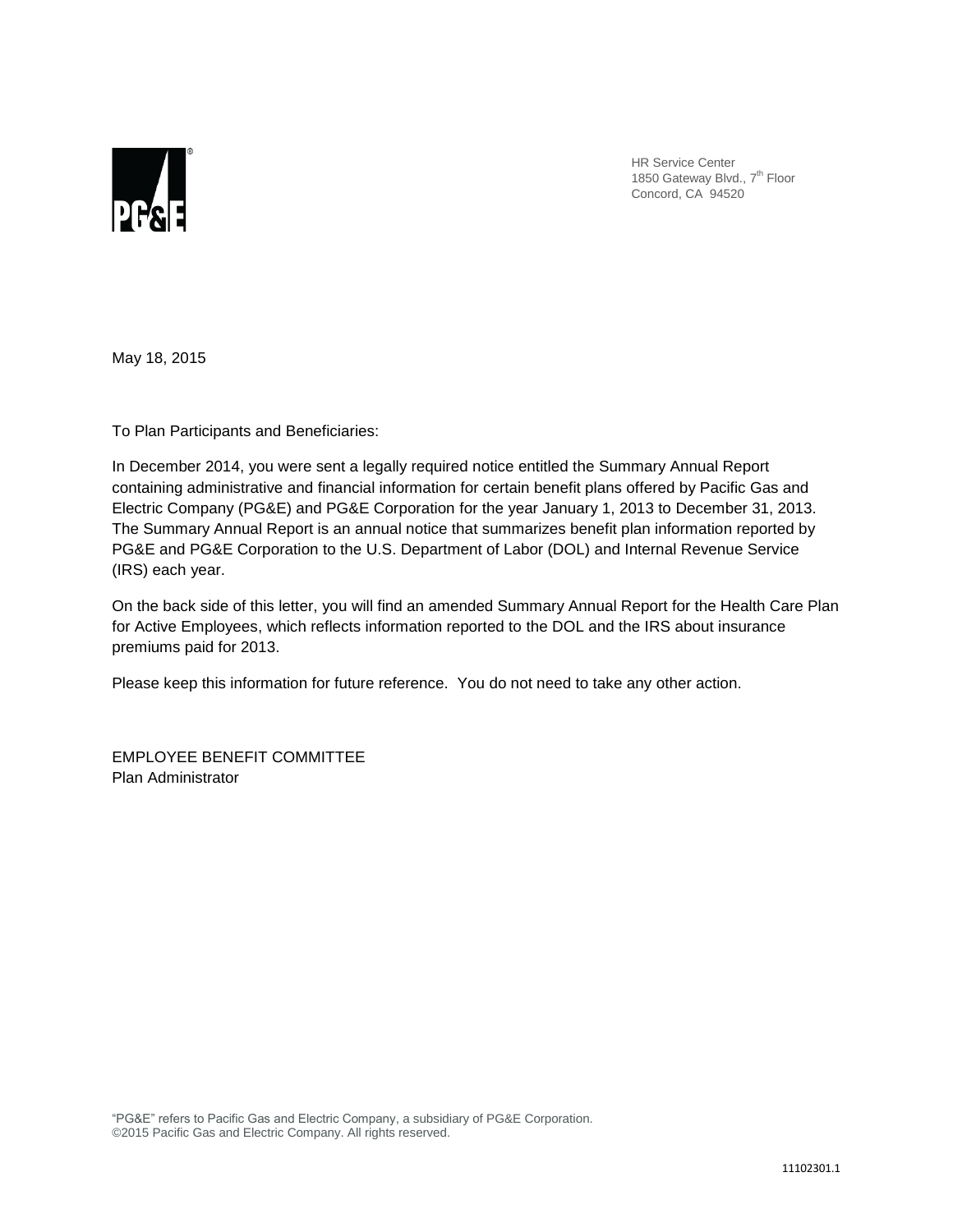

HR Service Center 1850 Gateway Blvd., 7<sup>th</sup> Floor Concord, CA 94520

May 18, 2015

To Plan Participants and Beneficiaries:

In December 2014, you were sent a legally required notice entitled the Summary Annual Report containing administrative and financial information for certain benefit plans offered by Pacific Gas and Electric Company (PG&E) and PG&E Corporation for the year January 1, 2013 to December 31, 2013. The Summary Annual Report is an annual notice that summarizes benefit plan information reported by PG&E and PG&E Corporation to the U.S. Department of Labor (DOL) and Internal Revenue Service (IRS) each year.

On the back side of this letter, you will find an amended Summary Annual Report for the Health Care Plan for Active Employees, which reflects information reported to the DOL and the IRS about insurance premiums paid for 2013.

Please keep this information for future reference. You do not need to take any other action.

EMPLOYEE BENEFIT COMMITTEE Plan Administrator